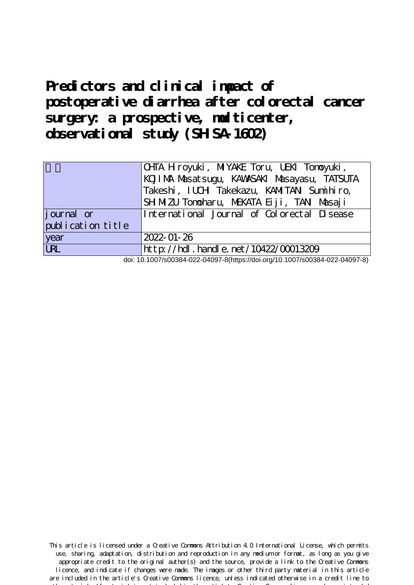# **Predictors and clinical impact of postoperative diarrhea after colorectal cancer** surgery: a prospective, multicenter, observational study (SHSA-1602)

|                    | CHTA H royuki, MIYAKE Toru, UEKI Tonoyuki,<br>KOJI MA Masat sugu, KAWASAKI Masayasu, TATSUTA<br>Takeshi, IUCH Takekazu, KAMITAN Sumihiro, |  |
|--------------------|-------------------------------------------------------------------------------------------------------------------------------------------|--|
|                    | SH MIZU Tonoharu, MEKATA Eiji, TANI Masaji                                                                                                |  |
| <i>j</i> ournal or | International Journal of Colorectal Disease                                                                                               |  |
| publication title  |                                                                                                                                           |  |
| year               | $2022 - 01 - 26$                                                                                                                          |  |
| URL                | http://hdl.handle.net/10422/00013209                                                                                                      |  |

doi: 10.1007/s00384-022-04097-8(https://doi.org/10.1007/s00384-022-04097-8)

This article is licensed under a Creative Commons Attribution 4.0 International License, which permits use, sharing, adaptation, distribution and reproduction in any medium or format, as long as you give appropriate credit to the original author(s) and the source, provide a link to the Creative Commons licence, and indicate if changes were made. The images or other third party material in this article are included in the article's Creative Commons licence, unless indicated otherwise in a credit line to the material. If material is not included in the article's Creative Commons licence and your intended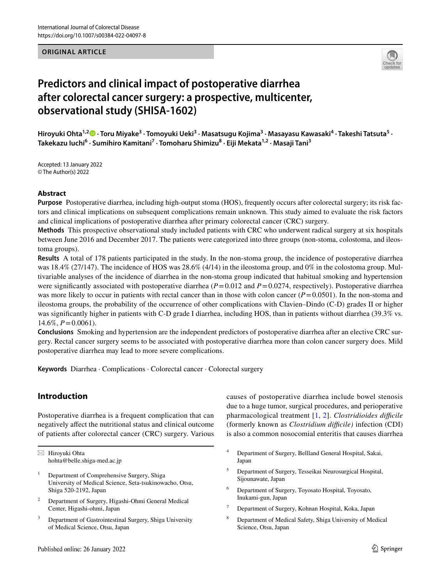#### **ORIGINAL ARTICLE**



# **Predictors and clinical impact of postoperative diarrhea after colorectal cancer surgery: a prospective, multicenter, observational study (SHISA‑1602)**

**Hiroyuki Ohta1,2 · Toru Miyake3 · Tomoyuki Ueki<sup>3</sup> · Masatsugu Kojima3 · Masayasu Kawasaki<sup>4</sup> · Takeshi Tatsuta<sup>5</sup> · Takekazu Iuchi6 · Sumihiro Kamitani7 · Tomoharu Shimizu8 · Eiji Mekata1,2 · Masaji Tani3**

Accepted: 13 January 2022 © The Author(s) 2022

#### **Abstract**

**Purpose** Postoperative diarrhea, including high-output stoma (HOS), frequently occurs after colorectal surgery; its risk factors and clinical implications on subsequent complications remain unknown. This study aimed to evaluate the risk factors and clinical implications of postoperative diarrhea after primary colorectal cancer (CRC) surgery.

**Methods** This prospective observational study included patients with CRC who underwent radical surgery at six hospitals between June 2016 and December 2017. The patients were categorized into three groups (non-stoma, colostoma, and ileostoma groups).

**Results** A total of 178 patients participated in the study. In the non-stoma group, the incidence of postoperative diarrhea was 18.4% (27/147). The incidence of HOS was 28.6% (4/14) in the ileostoma group, and 0% in the colostoma group. Multivariable analyses of the incidence of diarrhea in the non-stoma group indicated that habitual smoking and hypertension were significantly associated with postoperative diarrhea  $(P=0.012$  and  $P=0.0274$ , respectively). Postoperative diarrhea was more likely to occur in patients with rectal cancer than in those with colon cancer  $(P=0.0501)$ . In the non-stoma and ileostoma groups, the probability of the occurrence of other complications with Clavien–Dindo (C-D) grades II or higher was signifcantly higher in patients with C-D grade I diarrhea, including HOS, than in patients without diarrhea (39.3% vs.  $14.6\%, P=0.0061$ .

**Conclusions** Smoking and hypertension are the independent predictors of postoperative diarrhea after an elective CRC surgery. Rectal cancer surgery seems to be associated with postoperative diarrhea more than colon cancer surgery does. Mild postoperative diarrhea may lead to more severe complications.

**Keywords** Diarrhea · Complications · Colorectal cancer · Colorectal surgery

# **Introduction**

Postoperative diarrhea is a frequent complication that can negatively afect the nutritional status and clinical outcome of patients after colorectal cancer (CRC) surgery. Various

 $\boxtimes$  Hiroyuki Ohta hohta@belle.shiga-med.ac.jp

- <sup>1</sup> Department of Comprehensive Surgery, Shiga University of Medical Science, Seta-tsukinowacho, Otsu, Shiga 520-2192, Japan
- <sup>2</sup> Department of Surgery, Higashi-Ohmi General Medical Center, Higashi-ohmi, Japan
- Department of Gastrointestinal Surgery, Shiga University of Medical Science, Otsu, Japan

causes of postoperative diarrhea include bowel stenosis due to a huge tumor, surgical procedures, and perioperative pharmacological treatment [\[1](#page-7-0), [2](#page-7-1)]. *Clostridioides difficile* (formerly known as *Clostridium difcile)* infection (CDI) is also a common nosocomial enteritis that causes diarrhea

- <sup>4</sup> Department of Surgery, Bellland General Hospital, Sakai, Japan
- <sup>5</sup> Department of Surgery, Tesseikai Neurosurgical Hospital, Sijounawate, Japan
- <sup>6</sup> Department of Surgery, Toyosato Hospital, Toyosato, Inukami-gun, Japan
- <sup>7</sup> Department of Surgery, Kohnan Hospital, Koka, Japan
- <sup>8</sup> Department of Medical Safety, Shiga University of Medical Science, Otsu, Japan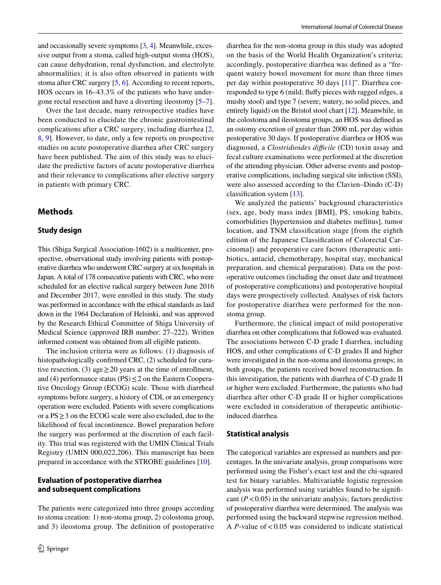and occasionally severe symptoms [[3,](#page-7-2) [4](#page-7-3)]. Meanwhile, excessive output from a stoma, called high-output stoma (HOS), can cause dehydration, renal dysfunction, and electrolyte abnormalities; it is also often observed in patients with stoma after CRC surgery [[5](#page-7-4), [6\]](#page-7-5). According to recent reports, HOS occurs in 16–43.3% of the patients who have undergone rectal resection and have a diverting ileostomy [[5](#page-7-4)[–7](#page-7-6)].

Over the last decade, many retrospective studies have been conducted to elucidate the chronic gastrointestinal complications after a CRC surgery, including diarrhea [\[2,](#page-7-1) [8](#page-7-7), [9\]](#page-7-8). However, to date, only a few reports on prospective studies on acute postoperative diarrhea after CRC surgery have been published. The aim of this study was to elucidate the predictive factors of acute postoperative diarrhea and their relevance to complications after elective surgery in patients with primary CRC.

# **Methods**

#### **Study design**

This (Shiga Surgical Association-1602) is a multicenter, prospective, observational study involving patients with postoperative diarrhea who underwent CRC surgery at six hospitals in Japan. A total of 178 consecutive patients with CRC, who were scheduled for an elective radical surgery between June 2016 and December 2017, were enrolled in this study. The study was performed in accordance with the ethical standards as laid down in the 1964 Declaration of Helsinki, and was approved by the Research Ethical Committee of Shiga University of Medical Science (approved IRB number: 27–222). Written informed consent was obtained from all eligible patients.

The inclusion criteria were as follows: (1) diagnosis of histopathologically confirmed CRC, (2) scheduled for curative resection, (3) age  $\geq$  20 years at the time of enrollment, and (4) performance status (PS) $\leq$  2 on the Eastern Cooperative Oncology Group (ECOG) scale. Those with diarrheal symptoms before surgery, a history of CDI, or an emergency operation were excluded. Patients with severe complications or a PS≥3 on the ECOG scale were also excluded, due to the likelihood of fecal incontinence. Bowel preparation before the surgery was performed at the discretion of each facility. This trial was registered with the UMIN Clinical Trials Registry (UMIN 000,022,206). This manuscript has been prepared in accordance with the STROBE guidelines [[10\]](#page-7-9).

#### **Evaluation of postoperative diarrhea and subsequent complications**

The patients were categorized into three groups according to stoma creation: 1) non-stoma group, 2) colostoma group, and 3) ileostoma group. The defnition of postoperative diarrhea for the non-stoma group in this study was adopted on the basis of the World Health Organization's criteria; accordingly, postoperative diarrhea was defned as a "frequent watery bowel movement for more than three times per day within postoperative 30 days [[11](#page-7-10)]". Diarrhea corresponded to type 6 (mild; fufy pieces with ragged edges, a mushy stool) and type 7 (severe; watery, no solid pieces, and entirely liquid) on the Bristol stool chart [[12](#page-7-11)]. Meanwhile, in the colostoma and ileostoma groups, an HOS was defned as an ostomy excretion of greater than 2000 mL per day within postoperative 30 days. If postoperative diarrhea or HOS was diagnosed, a *Clostridioides difficile* (CD) toxin assay and fecal culture examinations were performed at the discretion of the attending physician. Other adverse events and postoperative complications, including surgical site infection (SSI), were also assessed according to the Clavien–Dindo (C-D) classifcation system [\[13](#page-7-12)].

We analyzed the patients' background characteristics (sex, age, body mass index [BMI], PS, smoking habits, comorbidities [hypertension and diabetes mellitus], tumor location, and TNM classifcation stage [from the eighth edition of the Japanese Classifcation of Colorectal Carcinoma]) and preoperative care factors (therapeutic antibiotics, antacid, chemotherapy, hospital stay, mechanical preparation, and chemical preparation). Data on the postoperative outcomes (including the onset date and treatment of postoperative complications) and postoperative hospital days were prospectively collected. Analyses of risk factors for postoperative diarrhea were performed for the nonstoma group.

Furthermore, the clinical impact of mild postoperative diarrhea on other complications that followed was evaluated. The associations between C-D grade I diarrhea, including HOS, and other complications of C-D grades II and higher were investigated in the non-stoma and ileostoma groups; in both groups, the patients received bowel reconstruction. In this investigation, the patients with diarrhea of C-D grade II or higher were excluded. Furthermore, the patients who had diarrhea after other C-D grade II or higher complications were excluded in consideration of therapeutic antibioticinduced diarrhea.

#### **Statistical analysis**

The categorical variables are expressed as numbers and percentages. In the univariate analysis, group comparisons were performed using the Fisher's exact test and the chi-squared test for binary variables. Multivariable logistic regression analysis was performed using variables found to be signifcant  $(P<0.05)$  in the univariate analysis; factors predictive of postoperative diarrhea were determined. The analysis was performed using the backward stepwise regression method. A  $P$ -value of  $< 0.05$  was considered to indicate statistical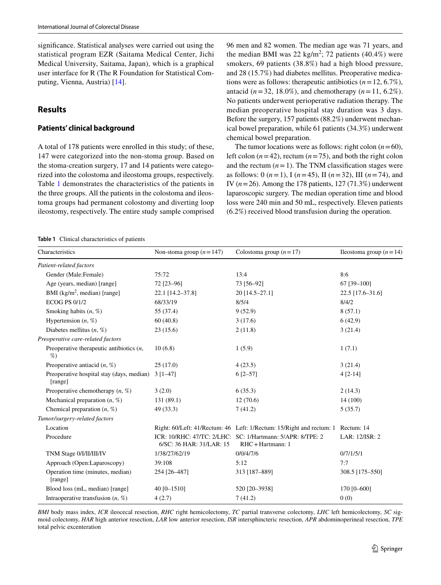signifcance. Statistical analyses were carried out using the statistical program EZR (Saitama Medical Center, Jichi Medical University, Saitama, Japan), which is a graphical user interface for R (The R Foundation for Statistical Computing, Vienna, Austria) [[14\]](#page-7-13).

# **Results**

#### **Patients' clinical background**

A total of 178 patients were enrolled in this study; of these, 147 were categorized into the non-stoma group. Based on the stoma-creation surgery, 17 and 14 patients were categorized into the colostoma and ileostoma groups, respectively. Table [1](#page-3-0) demonstrates the characteristics of the patients in the three groups. All the patients in the colostoma and ileostoma groups had permanent colostomy and diverting loop ileostomy, respectively. The entire study sample comprised 96 men and 82 women. The median age was 71 years, and the median BMI was 22 kg/m<sup>2</sup>; 72 patients  $(40.4\%)$  were smokers, 69 patients (38.8%) had a high blood pressure, and 28 (15.7%) had diabetes mellitus. Preoperative medications were as follows: therapeutic antibiotics  $(n=12, 6.7\%)$ , antacid ( $n = 32, 18.0\%$ ), and chemotherapy ( $n = 11, 6.2\%$ ). No patients underwent perioperative radiation therapy. The median preoperative hospital stay duration was 3 days. Before the surgery, 157 patients (88.2%) underwent mechanical bowel preparation, while 61 patients (34.3%) underwent chemical bowel preparation.

The tumor locations were as follows: right colon  $(n=60)$ , left colon  $(n=42)$ , rectum  $(n=75)$ , and both the right colon and the rectum  $(n=1)$ . The TNM classification stages were as follows: 0 (*n*=1), I (*n*=45), II (*n*=32), III (*n*=74), and IV (*n*=26). Among the 178 patients, 127 (71.3%) underwent laparoscopic surgery. The median operation time and blood loss were 240 min and 50 mL, respectively. Eleven patients (6.2%) received blood transfusion during the operation.

<span id="page-3-0"></span>**Table 1** Clinical characteristics of patients

| Characteristics                                      | Non-stoma group $(n=147)$ | Colostoma group $(n=17)$                                                        | Ileostoma group ( $n = 14$ ) |
|------------------------------------------------------|---------------------------|---------------------------------------------------------------------------------|------------------------------|
| Patient-related factors                              |                           |                                                                                 |                              |
| Gender (Male:Female)                                 | 75:72                     | 13:4                                                                            | 8:6                          |
| Age (years, median) [range]                          | 72 [23-96]                | 73 [56-92]                                                                      | 67 [39-100]                  |
| BMI (kg/m <sup>2</sup> , median) [range]             | 22.1 [14.2-37.8]          | 20 [14.5-27.1]                                                                  | 22.5 [17.6-31.6]             |
| <b>ECOG PS 0/1/2</b>                                 | 68/33/19                  | 8/5/4                                                                           | 8/4/2                        |
| Smoking habits $(n, %)$                              | 55 (37.4)                 | 9(52.9)                                                                         | 8(57.1)                      |
| Hypertension $(n, %)$                                | 60(40.8)                  | 3(17.6)                                                                         | 6(42.9)                      |
| Diabetes mellitus $(n, %)$                           | 23(15.6)                  | 2(11.8)                                                                         | 3(21.4)                      |
| Preoperative care-related factors                    |                           |                                                                                 |                              |
| Preoperative therapeutic antibiotics $(n,$<br>%      | 10(6.8)                   | 1(5.9)                                                                          | 1(7.1)                       |
| Preoperative antiacid $(n, %)$                       | 25(17.0)                  | 4(23.5)                                                                         | 3(21.4)                      |
| Preoperative hospital stay (days, median)<br>[range] | $3 \mid 1-47$             | $6$ [2-57]                                                                      | $4 [2-14]$                   |
| Preoperative chemotherapy $(n, %)$                   | 3(2.0)                    | 6(35.3)                                                                         | 2(14.3)                      |
| Mechanical preparation $(n, %)$                      | 131 (89.1)                | 12(70.6)                                                                        | 14 (100)                     |
| Chemical preparation $(n, %)$                        | 49 (33.3)                 | 7(41.2)                                                                         | 5(35.7)                      |
| Tumor/surgery-related factors                        |                           |                                                                                 |                              |
| Location                                             |                           | Right: 60/Left: 41/Rectum: 46 Left: 1/Rectum: 15/Right and rectum: 1 Rectum: 14 |                              |
| Procedure                                            | 6/SC: 36 HAR: 31/LAR: 15  | ICR: 10/RHC: 47/TC: 2/LHC: SC: 1/Hartmann: 5/APR: 8/TPE: 2<br>RHC+Hartmann: 1   | LAR: 12/ISR: 2               |
| TNM Stage 0/I/II/III/IV                              | 1/38/27/62/19             | 0/0/4/7/6                                                                       | 0/7/1/5/1                    |
| Approach (Open:Laparoscopy)                          | 39:108                    | 5:12                                                                            | 7:7                          |
| Operation time (minutes, median)<br>[range]          | 254 [26-487]              | 313 [187-889]                                                                   | 308.5 [175-550]              |
| Blood loss (mL, median) [range]                      | 40 [0-1510]               | 520 [20-3938]                                                                   | 170 [0-600]                  |
| Intraoperative transfusion $(n, %)$                  | 4(2.7)                    | 7(41.2)                                                                         | 0(0)                         |

*BMI* body mass index, *ICR* ileocecal resection, *RHC* right hemicolectomy, *TC* partial transverse colectomy, *LHC* left hemicolectomy, *SC* sigmoid colectomy, *HAR* high anterior resection, *LAR* low anterior resection, *ISR* intersphincteric resection, *APR* abdominoperineal resection, *TPE* total pelvic excenteration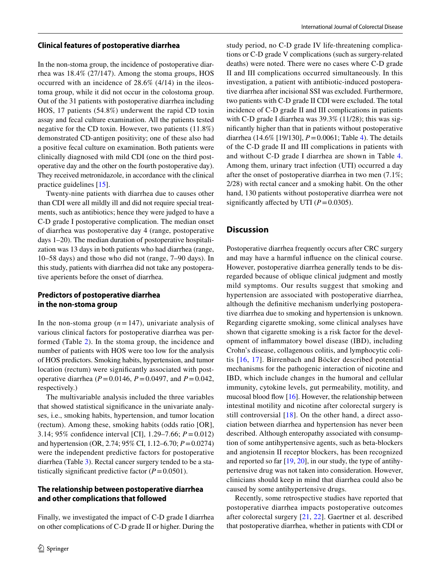#### **Clinical features of postoperative diarrhea**

In the non-stoma group, the incidence of postoperative diarrhea was 18.4% (27/147). Among the stoma groups, HOS occurred with an incidence of 28.6% (4/14) in the ileostoma group, while it did not occur in the colostoma group. Out of the 31 patients with postoperative diarrhea including HOS, 17 patients (54.8%) underwent the rapid CD toxin assay and fecal culture examination. All the patients tested negative for the CD toxin. However, two patients (11.8%) demonstrated CD-antigen positivity; one of these also had a positive fecal culture on examination. Both patients were clinically diagnosed with mild CDI (one on the third postoperative day and the other on the fourth postoperative day). They received metronidazole, in accordance with the clinical practice guidelines [[15\]](#page-8-0).

Twenty-nine patients with diarrhea due to causes other than CDI were all mildly ill and did not require special treatments, such as antibiotics; hence they were judged to have a C-D grade I postoperative complication. The median onset of diarrhea was postoperative day 4 (range, postoperative days 1–20). The median duration of postoperative hospitalization was 13 days in both patients who had diarrhea (range, 10–58 days) and those who did not (range, 7–90 days). In this study, patients with diarrhea did not take any postoperative aperients before the onset of diarrhea.

# **Predictors of postoperative diarrhea in the non‑stoma group**

In the non-stoma group  $(n=147)$ , univariate analysis of various clinical factors for postoperative diarrhea was performed (Table [2](#page-5-0)). In the stoma group, the incidence and number of patients with HOS were too low for the analysis of HOS predictors. Smoking habits, hypertension, and tumor location (rectum) were significantly associated with postoperative diarrhea (*P*=0.0146, *P*=0.0497, and *P*=0.042, respectively.)

The multivariable analysis included the three variables that showed statistical signifcance in the univariate analyses, i.e., smoking habits, hypertension, and tumor location (rectum). Among these, smoking habits (odds ratio [OR], 3.14; 95% confdence interval [CI], 1.29–7.66; *P*=0.012) and hypertension (OR, 2.74; 95% CI, 1.12–6.70; *P*=0.0274) were the independent predictive factors for postoperative diarrhea (Table [3\)](#page-6-0). Rectal cancer surgery tended to be a statistically significant predictive factor  $(P=0.0501)$ .

## **The relationship between postoperative diarrhea and other complications that followed**

Finally, we investigated the impact of C-D grade I diarrhea on other complications of C-D grade II or higher. During the study period, no C-D grade IV life-threatening complications or C-D grade V complications (such as surgery-related deaths) were noted. There were no cases where C-D grade II and III complications occurred simultaneously. In this investigation, a patient with antibiotic-induced postoperative diarrhea after incisional SSI was excluded. Furthermore, two patients with C-D grade II CDI were excluded. The total incidence of C-D grade II and III complications in patients with C-D grade I diarrhea was 39.3% (11/28); this was signifcantly higher than that in patients without postoperative diarrhea (14.6% [19/130], *P*=0.0061; Table [4](#page-6-1)). The details of the C-D grade II and III complications in patients with and without C-D grade I diarrhea are shown in Table [4.](#page-6-1) Among them, urinary tract infection (UTI) occurred a day after the onset of postoperative diarrhea in two men (7.1%; 2/28) with rectal cancer and a smoking habit. On the other hand, 130 patients without postoperative diarrhea were not significantly affected by UTI  $(P=0.0305)$ .

## **Discussion**

Postoperative diarrhea frequently occurs after CRC surgery and may have a harmful infuence on the clinical course. However, postoperative diarrhea generally tends to be disregarded because of oblique clinical judgment and mostly mild symptoms. Our results suggest that smoking and hypertension are associated with postoperative diarrhea, although the defnitive mechanism underlying postoperative diarrhea due to smoking and hypertension is unknown. Regarding cigarette smoking, some clinical analyses have shown that cigarette smoking is a risk factor for the development of infammatory bowel disease (IBD), including Crohn's disease, collagenous colitis, and lymphocytic colitis [\[16,](#page-8-1) [17\]](#page-8-2). Birrenbach and Böcker described potential mechanisms for the pathogenic interaction of nicotine and IBD, which include changes in the humoral and cellular immunity, cytokine levels, gut permeability, motility, and mucosal blood flow  $[16]$  $[16]$  $[16]$ . However, the relationship between intestinal motility and nicotine after colorectal surgery is still controversial [[18](#page-8-3)]. On the other hand, a direct association between diarrhea and hypertension has never been described. Although enteropathy associated with consumption of some antihypertensive agents, such as beta-blockers and angiotensin II receptor blockers, has been recognized and reported so far  $[19, 20]$  $[19, 20]$  $[19, 20]$  $[19, 20]$ , in our study, the type of antihypertensive drug was not taken into consideration. However, clinicians should keep in mind that diarrhea could also be caused by some antihypertensive drugs.

Recently, some retrospective studies have reported that postoperative diarrhea impacts postoperative outcomes after colorectal surgery [\[21](#page-8-6), [22](#page-8-7)]. Gaertner et al. described that postoperative diarrhea, whether in patients with CDI or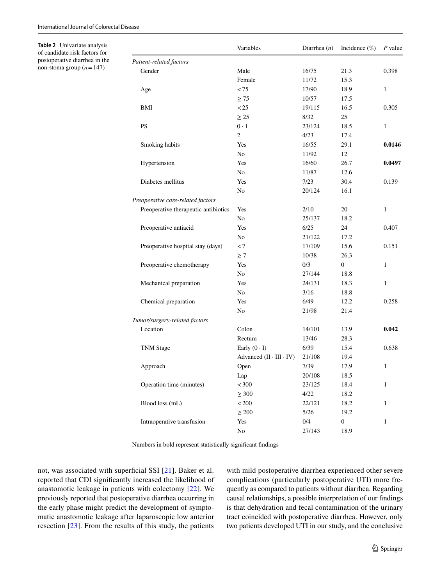$\overline{a}$ 

<span id="page-5-0"></span>**Table 2** Univariate analysis of candidate risk factors for postoperative diarrhea in the non-stoma group  $(n=147)$ 

|                                      | Variables                          | Diarrhea $(n)$ | Incidence $(\%)$ | $P$ value    |
|--------------------------------------|------------------------------------|----------------|------------------|--------------|
| Patient-related factors              |                                    |                |                  |              |
| Gender                               | Male                               | 16/75          | 21.3             | 0.398        |
|                                      | Female                             | 11/72          | 15.3             |              |
| Age                                  | < 75                               | 17/90          | 18.9             | 1            |
|                                      | $\geq 75$                          | 10/57          | 17.5             |              |
| BMI                                  | < 25                               | 19/115         | 16.5             | 0.305        |
|                                      | $\geq 25$                          | 8/32           | 25               |              |
| <b>PS</b>                            | $0 \cdot 1$                        | 23/124         | 18.5             | $\mathbf{1}$ |
|                                      | $\mathfrak{2}$                     | 4/23           | 17.4             |              |
| Smoking habits                       | Yes                                | 16/55          | 29.1             | 0.0146       |
|                                      | No                                 | 11/92          | 12               |              |
| Hypertension                         | Yes                                | 16/60          | 26.7             | 0.0497       |
|                                      | N <sub>0</sub>                     | 11/87          | 12.6             |              |
| Diabetes mellitus                    | Yes                                | 7/23           | 30.4             | 0.139        |
|                                      | N <sub>0</sub>                     | 20/124         | 16.1             |              |
| Preoperative care-related factors    |                                    |                |                  |              |
| Preoperative therapeutic antibiotics | Yes                                | 2/10           | 20               | 1            |
|                                      | No.                                | 25/137         | 18.2             |              |
| Preoperative antiacid                | Yes                                | 6/25           | 24               | 0.407        |
|                                      | No                                 | 21/122         | 17.2             |              |
| Preoperative hospital stay (days)    | < 7                                | 17/109         | 15.6             | 0.151        |
|                                      | $\geq 7$                           | 10/38          | 26.3             |              |
| Preoperative chemotherapy            | Yes                                | 0/3            | $\boldsymbol{0}$ | 1            |
|                                      | No                                 | 27/144         | 18.8             |              |
| Mechanical preparation               | Yes                                | 24/131         | 18.3             | $\mathbf{1}$ |
|                                      | No                                 | 3/16           | 18.8             |              |
| Chemical preparation                 | Yes                                | 6/49           | 12.2             | 0.258        |
|                                      | No                                 | 21/98          | 21.4             |              |
| Tumor/surgery-related factors        |                                    |                |                  |              |
| Location                             | Colon                              | 14/101         | 13.9             | 0.042        |
|                                      | Rectum                             | 13/46          | 28.3             |              |
| <b>TNM</b> Stage                     | Early $(0 \cdot I)$                | 6/39           | 15.4             | 0.638        |
|                                      | Advanced $(II \cdot III \cdot IV)$ | 21/108         | 19.4             |              |
| Approach                             | Open                               | 7/39           | 17.9             | 1            |
|                                      | Lap                                | 20/108         | 18.5             |              |
| Operation time (minutes)             | < 300                              | 23/125         | 18.4             | 1            |
|                                      | $\geq 300$                         | 4/22           | 18.2             |              |
| Blood loss (mL)                      | < 200                              | 22/121         | 18.2             | 1            |
|                                      | $\geq 200$                         | 5/26           | 19.2             |              |
| Intraoperative transfusion           | Yes                                | 0/4            | $\boldsymbol{0}$ | 1            |
|                                      | $\rm No$                           | 27/143         | 18.9             |              |

Numbers in bold represent statistically signifcant fndings

not, was associated with superficial SSI [[21](#page-8-6)]. Baker et al. reported that CDI signifcantly increased the likelihood of anastomotic leakage in patients with colectomy [\[22](#page-8-7)]. We previously reported that postoperative diarrhea occurring in the early phase might predict the development of symptomatic anastomotic leakage after laparoscopic low anterior resection [[23\]](#page-8-8). From the results of this study, the patients with mild postoperative diarrhea experienced other severe complications (particularly postoperative UTI) more frequently as compared to patients without diarrhea. Regarding causal relationships, a possible interpretation of our fndings is that dehydration and fecal contamination of the urinary tract coincided with postoperative diarrhea. However, only two patients developed UTI in our study, and the conclusive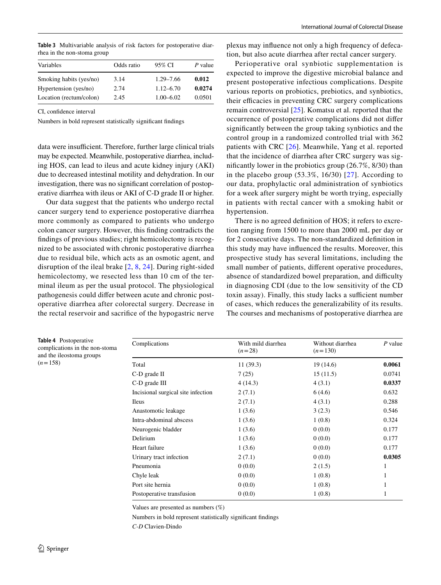<span id="page-6-0"></span>**Table 3** Multivariable analysis of risk factors for postoperative diarrhea in the non-stoma group

| Variables               | Odds ratio | 95% CI        | P value |
|-------------------------|------------|---------------|---------|
| Smoking habits (yes/no) | 3.14       | $1.29 - 7.66$ | 0.012   |
| Hypertension (yes/no)   | 2.74       | $1.12 - 6.70$ | 0.0274  |
| Location (rectum/colon) | 2.45       | $1.00 - 6.02$ | 0.0501  |
|                         |            |               |         |

CI, confdence interval

Numbers in bold represent statistically signifcant fndings

data were insufficient. Therefore, further large clinical trials may be expected. Meanwhile, postoperative diarrhea, including HOS, can lead to ileus and acute kidney injury (AKI) due to decreased intestinal motility and dehydration. In our investigation, there was no signifcant correlation of postoperative diarrhea with ileus or AKI of C-D grade II or higher.

Our data suggest that the patients who undergo rectal cancer surgery tend to experience postoperative diarrhea more commonly as compared to patients who undergo colon cancer surgery. However, this fnding contradicts the fndings of previous studies; right hemicolectomy is recognized to be associated with chronic postoperative diarrhea due to residual bile, which acts as an osmotic agent, and disruption of the ileal brake [[2](#page-7-1), [8,](#page-7-7) [24](#page-8-9)]. During right-sided hemicolectomy, we resected less than 10 cm of the terminal ileum as per the usual protocol. The physiological pathogenesis could difer between acute and chronic postoperative diarrhea after colorectal surgery. Decrease in the rectal reservoir and sacrifce of the hypogastric nerve

<span id="page-6-1"></span>**Table 4** Postoperative complications in the non-stoma and the ileostoma groups  $(n=158)$ 

plexus may infuence not only a high frequency of defecation, but also acute diarrhea after rectal cancer surgery.

Perioperative oral synbiotic supplementation is expected to improve the digestive microbial balance and present postoperative infectious complications. Despite various reports on probiotics, prebiotics, and synbiotics, their efficacies in preventing CRC surgery complications remain controversial [\[25\]](#page-8-10). Komatsu et al. reported that the occurrence of postoperative complications did not difer signifcantly between the group taking synbiotics and the control group in a randomized controlled trial with 362 patients with CRC [[26](#page-8-11)]. Meanwhile, Yang et al. reported that the incidence of diarrhea after CRC surgery was signifcantly lower in the probiotics group (26.7%, 8/30) than in the placebo group  $(53.3\%, 16/30)$  [\[27\]](#page-8-12). According to our data, prophylactic oral administration of synbiotics for a week after surgery might be worth trying, especially in patients with rectal cancer with a smoking habit or hypertension.

There is no agreed defnition of HOS; it refers to excretion ranging from 1500 to more than 2000 mL per day or for 2 consecutive days. The non-standardized defnition in this study may have infuenced the results. Moreover, this prospective study has several limitations, including the small number of patients, diferent operative procedures, absence of standardized bowel preparation, and difficulty in diagnosing CDI (due to the low sensitivity of the CD toxin assay). Finally, this study lacks a sufficient number of cases, which reduces the generalizability of its results. The courses and mechanisms of postoperative diarrhea are

| Complications                      | With mild diarrhea<br>$(n=28)$ | Without diarrhea<br>$(n=130)$ | P value |  |
|------------------------------------|--------------------------------|-------------------------------|---------|--|
| Total                              | 11(39.3)                       | 19(14.6)                      | 0.0061  |  |
| C-D grade II                       | 7(25)                          | 15(11.5)                      | 0.0741  |  |
| C-D grade III                      | 4(14.3)                        | 4(3.1)                        | 0.0337  |  |
| Incisional surgical site infection | 2(7.1)                         | 6(4.6)                        | 0.632   |  |
| Ileus                              | 2(7.1)                         | 4(3.1)                        | 0.288   |  |
| Anastomotic leakage                | 1(3.6)                         | 3(2.3)                        | 0.546   |  |
| Intra-abdominal abscess            | 1(3.6)                         | 1(0.8)                        | 0.324   |  |
| Neurogenic bladder                 | 1(3.6)                         | 0(0.0)                        | 0.177   |  |
| Delirium                           | 1(3.6)                         | 0(0.0)                        | 0.177   |  |
| Heart failure                      | 1(3.6)                         | 0(0.0)                        | 0.177   |  |
| Urinary tract infection            | 2(7.1)                         | 0(0.0)                        | 0.0305  |  |
| Pneumonia                          | 0(0.0)                         | 2(1.5)                        | 1       |  |
| Chyle leak                         | 0(0.0)                         | 1(0.8)                        | 1       |  |
| Port site hernia                   | 0(0.0)                         | 1(0.8)                        | 1       |  |
| Postoperative transfusion          | 0(0.0)                         | 1(0.8)                        | 1       |  |
|                                    |                                |                               |         |  |

Values are presented as numbers (%)

Numbers in bold represent statistically signifcant fndings

*C-D* Clavien-Dindo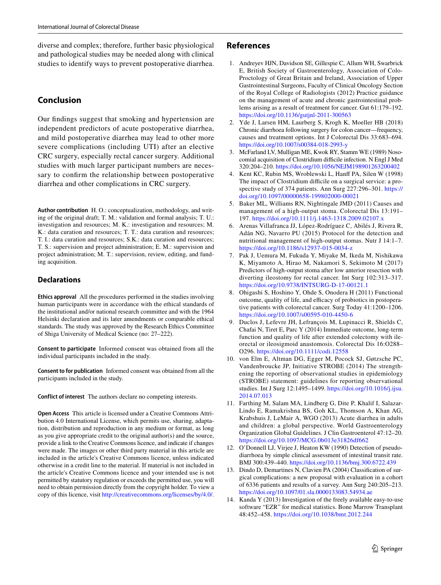diverse and complex; therefore, further basic physiological and pathological studies may be needed along with clinical studies to identify ways to prevent postoperative diarrhea.

# **Conclusion**

Our fndings suggest that smoking and hypertension are independent predictors of acute postoperative diarrhea, and mild postoperative diarrhea may lead to other more severe complications (including UTI) after an elective CRC surgery, especially rectal cancer surgery. Additional studies with much larger participant numbers are necessary to confrm the relationship between postoperative diarrhea and other complications in CRC surgery.

**Author contribution** H. O.: conceptualization, methodology, and writing of the original draft; T. M.: validation and formal analysis; T. U.: investigation and resources; M. K.: investigation and resources; M. K.: data curation and resources; T. T.: data curation and resources; T. I.: data curation and resources; S.K.: data curation and resources; T. S.: supervision and project administration; E. M.: supervision and project administration; M. T.: supervision, review, editing, and funding acquisition.

# **Declarations**

**Ethics approval** All the procedures performed in the studies involving human participants were in accordance with the ethical standards of the institutional and/or national research committee and with the 1964 Helsinki declaration and its later amendments or comparable ethical standards. The study was approved by the Research Ethics Committee of Shiga University of Medical Science (no: 27–222).

**Consent to participate** Informed consent was obtained from all the individual participants included in the study.

**Consent to for publication** Informed consent was obtained from all the participants included in the study.

**Conflict of interest** The authors declare no competing interests.

**Open Access** This article is licensed under a Creative Commons Attribution 4.0 International License, which permits use, sharing, adaptation, distribution and reproduction in any medium or format, as long as you give appropriate credit to the original author(s) and the source, provide a link to the Creative Commons licence, and indicate if changes were made. The images or other third party material in this article are included in the article's Creative Commons licence, unless indicated otherwise in a credit line to the material. If material is not included in the article's Creative Commons licence and your intended use is not permitted by statutory regulation or exceeds the permitted use, you will need to obtain permission directly from the copyright holder. To view a copy of this licence, visit <http://creativecommons.org/licenses/by/4.0/>.

# **References**

- <span id="page-7-0"></span>1. Andreyev HJN, Davidson SE, Gillespie C, Allum WH, Swarbrick E, British Society of Gastroenterology, Association of Colo-Proctology of Great Britain and Ireland, Association of Upper Gastrointestinal Surgeons, Faculty of Clinical Oncology Section of the Royal College of Radiologists (2012) Practice guidance on the management of acute and chronic gastrointestinal problems arising as a result of treatment for cancer. Gut 61:179–192. <https://doi.org/10.1136/gutjnl-2011-300563>
- <span id="page-7-1"></span>2. Yde J, Larsen HM, Laurberg S, Krogh K, Moeller HB (2018) Chronic diarrhoea following surgery for colon cancer—frequency, causes and treatment options. Int J Colorectal Dis 33:683–694. <https://doi.org/10.1007/s00384-018-2993-y>
- <span id="page-7-2"></span>3. McFarland LV, Mulligan ME, Kwok RY, Stamm WE (1989) Nosocomial acquisition of Clostridium difficile infection. N Engl J Med 320:204–210. <https://doi.org/10.1056/NEJM198901263200402>
- <span id="page-7-3"></span>4. Kent KC, Rubin MS, Wroblewski L, Hanff PA, Silen W (1998) The impact of Clostridium difficile on a surgical service: a prospective study of 374 patients. Ann Surg 227:296–301. [https://](https://doi.org/10.1097/00000658-199802000-00021) [doi.org/10.1097/00000658-199802000-00021](https://doi.org/10.1097/00000658-199802000-00021)
- <span id="page-7-4"></span>5. Baker ML, Williams RN, Nightingale JMD (2011) Causes and management of a high-output stoma. Colorectal Dis 13:191– 197. <https://doi.org/10.1111/j.1463-1318.2009.02107.x>
- <span id="page-7-5"></span>6. Arenas Villafranca JJ, López-Rodríguez C, Abilés J, Rivera R, Adán NG, Navarro PU (2015) Protocol for the detection and nutritional management of high-output stomas. Nutr J 14:1–7. <https://doi.org/10.1186/s12937-015-0034-z>
- <span id="page-7-6"></span>7. Pak J, Uemura M, Fukuda Y, Miyake M, Ikeda M, Nishikawa K, Miyamoto A, Hirao M, Nakamori S, Sekimoto M (2017) Predictors of high-output stoma after low anterior resection with diverting ileostomy for rectal cancer. Int Surg 102:313–317. <https://doi.org/10.9738/INTSURG-D-17-00121.1>
- <span id="page-7-7"></span>8. Ohigashi S, Hoshino Y, Ohde S, Onodera H (2011) Functional outcome, quality of life, and efficacy of probiotics in postoperative patients with colorectal cancer. Surg Today 41:1200–1206. <https://doi.org/10.1007/s00595-010-4450-6>
- <span id="page-7-8"></span>9. Duclos J, Lefevre JH, Lefrançois M, Lupinacci R, Shields C, Chafai N, Tiret E, Parc Y (2014) Immediate outcome, long-term function and quality of life after extended colectomy with ileorectal or ileosigmoid anastomosis. Colorectal Dis 16:O288– O296.<https://doi.org/10.1111/codi.12558>
- <span id="page-7-9"></span>10. von Elm E, Altman DG, Egger M, Pocock SJ, Gøtzsche PC, Vandenbroucke JP, Initiative STROBE (2014) The strengthening the reporting of observational studies in epidemiology (STROBE) statement: guidelines for reporting observational studies. Int J Surg 12:1495–1499. [https://doi.org/10.1016/j.ijsu.](https://doi.org/10.1016/j.ijsu.2014.07.013) [2014.07.013](https://doi.org/10.1016/j.ijsu.2014.07.013)
- <span id="page-7-10"></span>11. Farthing M, Salam MA, Lindberg G, Dite P, Khalif I, Salazar-Lindo E, Ramakrishna BS, Goh KL, Thomson A, Khan AG, Krabshuis J, LeMair A, WGO (2013) Acute diarrhea in adults and children: a global perspective. World Gastroenterology Organization Global Guidelines. J Clin Gastroenterol 47:12–20. <https://doi.org/10.1097/MCG.0b013e31826df662>
- <span id="page-7-11"></span>12. O'Donnell LJ, Virjee J, Heaton KW (1990) Detection of pseudodiarrhoea by simple clinical assessment of intestinal transit rate. BMJ 300:439–440.<https://doi.org/10.1136/bmj.300.6722.439>
- <span id="page-7-12"></span>13. Dindo D, Demartines N, Clavien PA (2004) Classifcation of surgical complications: a new proposal with evaluation in a cohort of 6336 patients and results of a survey. Ann Surg 240:205–213. <https://doi.org/10.1097/01.sla.0000133083.54934.ae>
- <span id="page-7-13"></span>14. Kanda Y (2013) Investigation of the freely available easy-to-use software "EZR" for medical statistics. Bone Marrow Transplant 48:452–458. <https://doi.org/10.1038/bmt.2012.244>